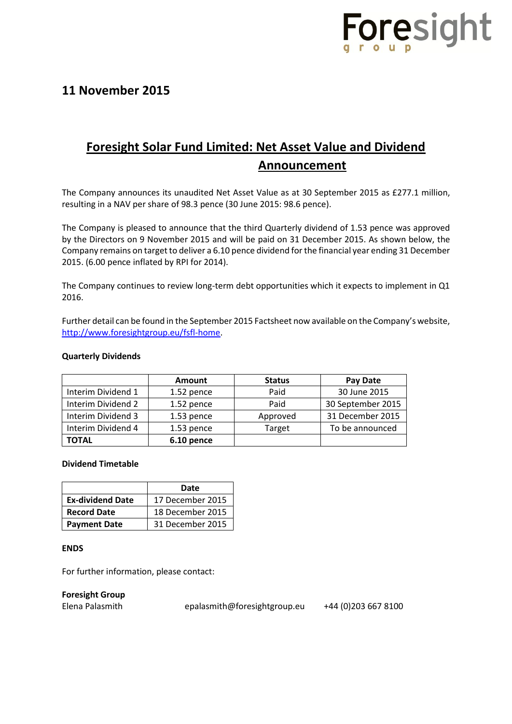

## **11 November 2015**

# **Foresight Solar Fund Limited: Net Asset Value and Dividend Announcement**

The Company announces its unaudited Net Asset Value as at 30 September 2015 as £277.1 million, resulting in a NAV per share of 98.3 pence (30 June 2015: 98.6 pence).

The Company is pleased to announce that the third Quarterly dividend of 1.53 pence was approved by the Directors on 9 November 2015 and will be paid on 31 December 2015. As shown below, the Company remains on target to deliver a 6.10 pence dividend for the financial year ending 31 December 2015. (6.00 pence inflated by RPI for 2014).

The Company continues to review long-term debt opportunities which it expects to implement in Q1 2016.

Further detail can be found in the September 2015 Factsheet now available on the Company's website, [http://www.foresightgroup.eu/fsfl-home.](http://www.foresightgroup.eu/fsfl-home)

### **Quarterly Dividends**

|                    | Amount     | <b>Status</b> | Pay Date          |
|--------------------|------------|---------------|-------------------|
| Interim Dividend 1 | 1.52 pence | Paid          | 30 June 2015      |
| Interim Dividend 2 | 1.52 pence | Paid          | 30 September 2015 |
| Interim Dividend 3 | 1.53 pence | Approved      | 31 December 2015  |
| Interim Dividend 4 | 1.53 pence | Target        | To be announced   |
| <b>TOTAL</b>       | 6.10 pence |               |                   |

#### **Dividend Timetable**

|                         | Date             |  |
|-------------------------|------------------|--|
| <b>Ex-dividend Date</b> | 17 December 2015 |  |
| <b>Record Date</b>      | 18 December 2015 |  |
| <b>Payment Date</b>     | 31 December 2015 |  |

#### **ENDS**

For further information, please contact:

**Foresight Group**

Elena Palasmith [epalasmith@foresightgroup.eu](mailto:epalasmith@foresightgroup.eu) +44 (0)203 667 8100